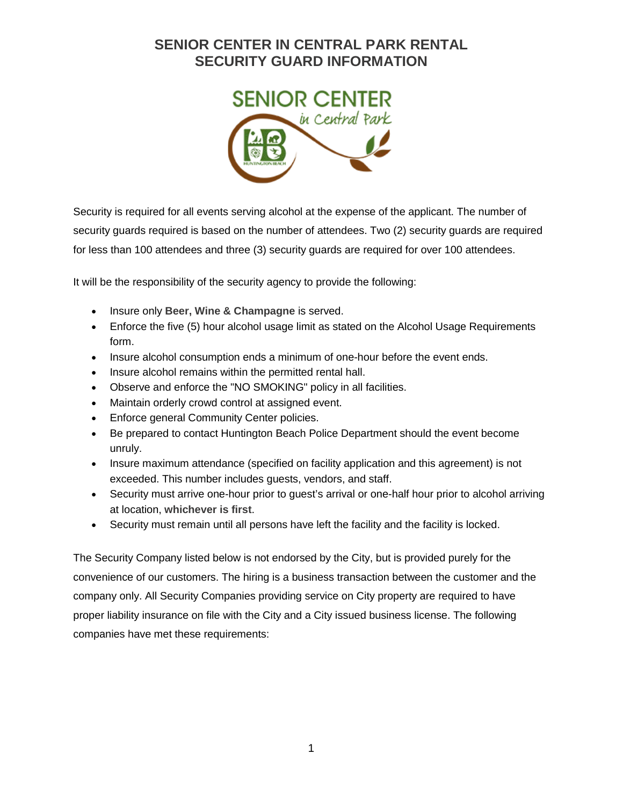## **SENIOR CENTER IN CENTRAL PARK RENTAL SECURITY GUARD INFORMATION**



Security is required for all events serving alcohol at the expense of the applicant. The number of security guards required is based on the number of attendees. Two (2) security guards are required for less than 100 attendees and three (3) security guards are required for over 100 attendees.

It will be the responsibility of the security agency to provide the following:

- Insure only **Beer, Wine & Champagne** is served.
- Enforce the five (5) hour alcohol usage limit as stated on the Alcohol Usage Requirements form.
- Insure alcohol consumption ends a minimum of one-hour before the event ends.
- Insure alcohol remains within the permitted rental hall.
- Observe and enforce the "NO SMOKING" policy in all facilities.
- Maintain orderly crowd control at assigned event.
- Enforce general Community Center policies.
- Be prepared to contact Huntington Beach Police Department should the event become unruly.
- Insure maximum attendance (specified on facility application and this agreement) is not exceeded. This number includes guests, vendors, and staff.
- Security must arrive one-hour prior to quest's arrival or one-half hour prior to alcohol arriving at location, **whichever is first**.
- Security must remain until all persons have left the facility and the facility is locked.

The Security Company listed below is not endorsed by the City, but is provided purely for the convenience of our customers. The hiring is a business transaction between the customer and the company only. All Security Companies providing service on City property are required to have proper liability insurance on file with the City and a City issued business license. The following companies have met these requirements: